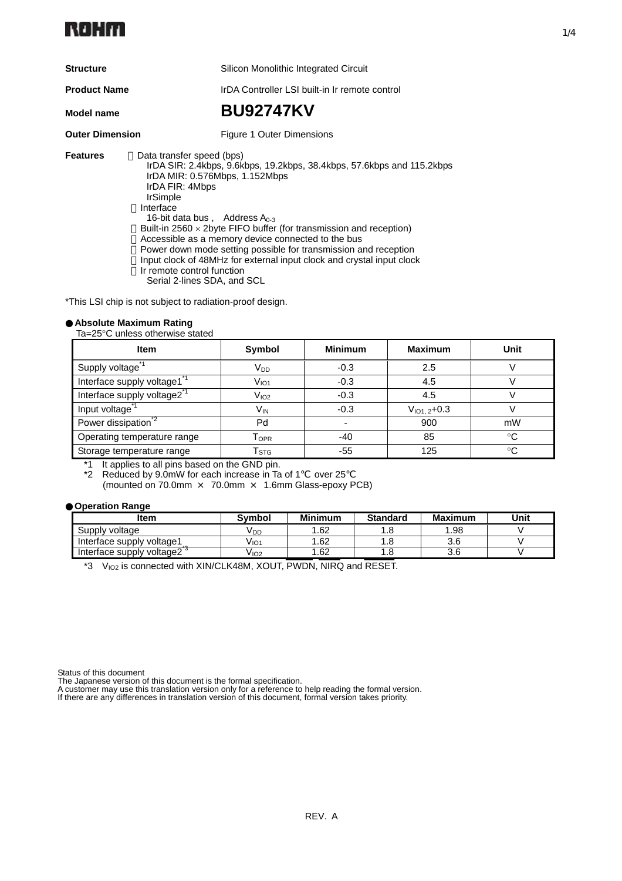

**Structure** Silicon Monolithic Integrated Circuit

**Product Name** IrDA Controller LSI built-in Ir remote control

**Model name BU92747KV** 

**Outer Dimension** Figure 1 Outer Dimensions

**Features** Data transfer speed (bps)

IrDA SIR: 2.4kbps, 9.6kbps, 19.2kbps, 38.4kbps, 57.6kbps and 115.2kbps IrDA MIR: 0.576Mbps, 1.152Mbps IrDA FIR: 4Mbps IrSimple Interface 16-bit data bus, Address  $A_{0-3}$ Built-in 2560  $\times$  2byte FIFO buffer (for transmission and reception) Accessible as a memory device connected to the bus Power down mode setting possible for transmission and reception ・Input clock of 48MHz for external input clock and crystal input clock Ir remote control function Serial 2-lines SDA, and SCL

\*This LSI chip is not subject to radiation-proof design.

#### **Absolute Maximum Rating**

Ta=25°C unless otherwise stated

| <b>Item</b>                                        | Symbol           | <b>Minimum</b> | <b>Maximum</b>    | Unit         |
|----------------------------------------------------|------------------|----------------|-------------------|--------------|
| Supply voltage <sup>1</sup>                        | V <sub>DD</sub>  | $-0.3$         | 2.5               |              |
| Interface supply voltage1                          | $\rm V_{IO1}$    | $-0.3$         | 4.5               |              |
| Interface supply voltage2 <sup>-1</sup>            | V <sub>IO2</sub> | $-0.3$         | 4.5               |              |
| Input voltage                                      | V <sub>IN</sub>  | $-0.3$         | $V_{101.2} + 0.3$ |              |
| Power dissipation <sup><math>2</math></sup>        | Pd               |                | 900               | mW           |
| Operating temperature range                        | I OPR            | -40            | 85                | ∘C           |
| Storage temperature range                          | l stg            | $-55$          | 125               | $^{\circ}$ C |
| *4 It explicate all piece located and the ONID pie |                  |                |                   |              |

\*1 It applies to all pins based on the GND pin.

Reduced by 9.0mW for each increase in Ta of 1 over 25

(mounted on 70.0mm × 70.0mm × 1.6mm Glass-epoxy PCB)

#### **Operation Range**

| ltem                                   | Symbol | <b>Minimum</b> | <b>Standard</b> | <b>Maximum</b> | Unit |
|----------------------------------------|--------|----------------|-----------------|----------------|------|
| Supply voltage                         | V DD   | 1.62           | ه.              | .98            |      |
| Interface supply voltage1              | V IO1  | 1.62           | ı .a            | v.v            |      |
| Interface supply voltage2 <sup>3</sup> | V 102  | 1.62           | . . 0           | v.v            |      |

\*3 VIO2 is connected with XIN/CLK48M, XOUT, PWDN, NIRQ and RESET.

Status of this document

The Japanese version of this document is the formal specification.

A customer may use this translation version only for a reference to help reading the formal version. If there are any differences in translation version of this document, formal version takes priority.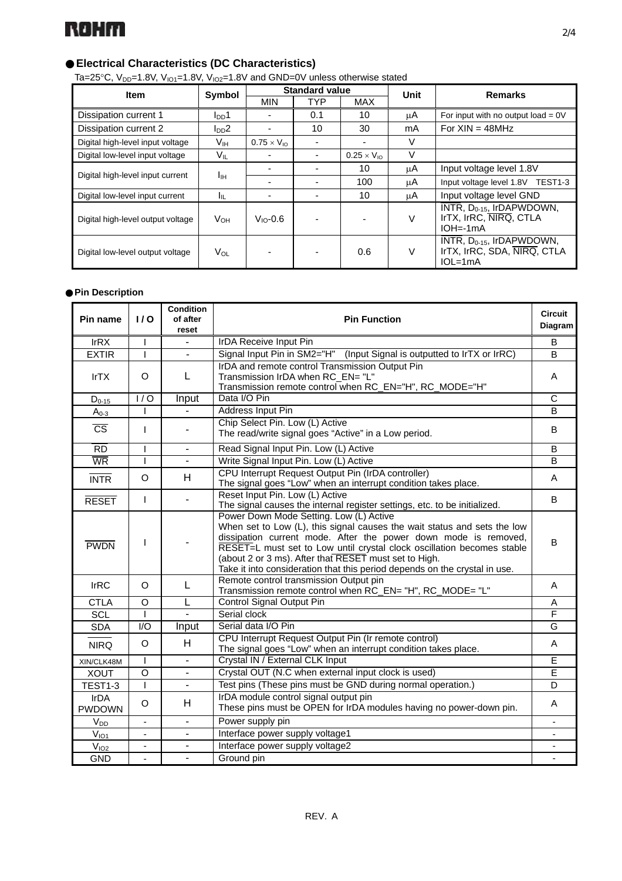

# **Electrical Characteristics (DC Characteristics)**

Ta=25°C,  $V_{DD}$ =1.8V,  $V_{IO1}$ =1.8V,  $V_{IO2}$ =1.8V and GND=0V unless otherwise stated

| <b>Item</b>                       | Symbol          | <b>Standard value</b> |            |                      | Unit | <b>Remarks</b>                                                                                          |  |
|-----------------------------------|-----------------|-----------------------|------------|----------------------|------|---------------------------------------------------------------------------------------------------------|--|
|                                   |                 | <b>MIN</b>            | <b>TYP</b> | MAX                  |      |                                                                                                         |  |
| Dissipation current 1             | $I_{DD}1$       |                       | 0.1        | 10                   | μA   | For input with no output load = $0V$                                                                    |  |
| Dissipation current 2             | $I_{DD}2$       |                       | 10         | 30                   | mA   | For $XIN = 48MHz$                                                                                       |  |
| Digital high-level input voltage  | Vıн             | $0.75 \times V_{10}$  |            |                      | V    |                                                                                                         |  |
| Digital low-level input voltage   | $V_{IL}$        |                       |            | $0.25 \times V_{10}$ | V    |                                                                                                         |  |
| Digital high-level input current  |                 |                       |            | 10                   | μA   | Input voltage level 1.8V                                                                                |  |
|                                   | Ιш              |                       |            | 100                  | μA   | Input voltage level 1.8V TEST1-3                                                                        |  |
| Digital low-level input current   | Iπ              |                       |            | 10                   | μA   | Input voltage level GND                                                                                 |  |
| Digital high-level output voltage | $V_{OH}$        | $V_{\text{IO}}$ -0.6  |            |                      | V    | INTR, $D_{0-15}$ , IrDAPWDOWN,<br>IrTX, IrRC, NIRQ, CTLA<br>$IOH = -1mA$                                |  |
| Digital low-level output voltage  | V <sub>OL</sub> |                       |            | 0.6                  | V    | $\overline{\text{INTER}}$ , D <sub>0-15</sub> , IrDAPWDOWN,<br>IrTX, IrRC, SDA, NIRQ, CTLA<br>$IOL=1mA$ |  |

## **Pin Description**

| Pin name                     | 1/0                      | <b>Condition</b><br>of after<br>reset | <b>Pin Function</b>                                                                                                                                                                                                                                                                                                                                                                                     |                         |  |  |
|------------------------------|--------------------------|---------------------------------------|---------------------------------------------------------------------------------------------------------------------------------------------------------------------------------------------------------------------------------------------------------------------------------------------------------------------------------------------------------------------------------------------------------|-------------------------|--|--|
| IrRX                         | I                        | L.                                    | <b>IrDA Receive Input Pin</b>                                                                                                                                                                                                                                                                                                                                                                           | B                       |  |  |
| <b>EXTIR</b>                 | $\mathbf{I}$             | $\overline{a}$                        | Signal Input Pin in SM2="H" (Input Signal is outputted to IrTX or IrRC)                                                                                                                                                                                                                                                                                                                                 | B                       |  |  |
| <b>IrTX</b>                  | $\Omega$                 | L                                     | IrDA and remote control Transmission Output Pin<br>Transmission IrDA when RC EN= "L"<br>Transmission remote control when RC_EN="H", RC_MODE="H"                                                                                                                                                                                                                                                         | A                       |  |  |
| $D_{0-15}$                   | $\overline{1/0}$         | Input                                 | Data I/O Pin                                                                                                                                                                                                                                                                                                                                                                                            | C                       |  |  |
| $A0-3$                       |                          |                                       | Address Input Pin                                                                                                                                                                                                                                                                                                                                                                                       | B                       |  |  |
| $\overline{\text{cs}}$       | $\mathsf{I}$             |                                       | Chip Select Pin. Low (L) Active<br>The read/write signal goes "Active" in a Low period.                                                                                                                                                                                                                                                                                                                 | B                       |  |  |
| $\overline{RD}$              |                          | L,                                    | Read Signal Input Pin. Low (L) Active                                                                                                                                                                                                                                                                                                                                                                   | B                       |  |  |
| $\overline{\text{WR}}$       |                          | $\overline{a}$                        | Write Signal Input Pin. Low (L) Active                                                                                                                                                                                                                                                                                                                                                                  | B                       |  |  |
| <b>INTR</b>                  | $\circ$                  | H                                     | CPU Interrupt Request Output Pin (IrDA controller)<br>The signal goes "Low" when an interrupt condition takes place.                                                                                                                                                                                                                                                                                    | A                       |  |  |
| <b>RESET</b>                 | $\mathsf{I}$             |                                       | Reset Input Pin. Low (L) Active<br>The signal causes the internal register settings, etc. to be initialized.                                                                                                                                                                                                                                                                                            | B                       |  |  |
| <b>PWDN</b>                  | I                        |                                       | Power Down Mode Setting. Low (L) Active<br>When set to Low (L), this signal causes the wait status and sets the low<br>dissipation current mode. After the power down mode is removed,<br>RESET=L must set to Low until crystal clock oscillation becomes stable<br>(about 2 or 3 ms). After that RESET must set to High.<br>Take it into consideration that this period depends on the crystal in use. | B                       |  |  |
| <b>IrRC</b>                  | $\Omega$                 | L                                     | Remote control transmission Output pin<br>Transmission remote control when RC_EN= "H", RC_MODE= "L"                                                                                                                                                                                                                                                                                                     | A                       |  |  |
| <b>CTLA</b>                  | $\circ$                  |                                       | Control Signal Output Pin                                                                                                                                                                                                                                                                                                                                                                               | A                       |  |  |
| <b>SCL</b>                   |                          | ÷.                                    | Serial clock                                                                                                                                                                                                                                                                                                                                                                                            | $\overline{\mathsf{F}}$ |  |  |
| <b>SDA</b>                   | $\overline{1/O}$         | Input                                 | Serial data I/O Pin                                                                                                                                                                                                                                                                                                                                                                                     | $\overline{G}$          |  |  |
| <b>NIRQ</b>                  | $\circ$                  | H                                     | CPU Interrupt Request Output Pin (Ir remote control)<br>The signal goes "Low" when an interrupt condition takes place.                                                                                                                                                                                                                                                                                  | A                       |  |  |
| XIN/CLK48M                   |                          | ä,                                    | Crystal IN / External CLK Input                                                                                                                                                                                                                                                                                                                                                                         | E                       |  |  |
| <b>XOUT</b>                  | O                        | ä,                                    | Crystal OUT (N.C when external input clock is used)                                                                                                                                                                                                                                                                                                                                                     | $\overline{\mathsf{E}}$ |  |  |
| TEST1-3                      | $\overline{\phantom{a}}$ | -                                     | Test pins (These pins must be GND during normal operation.)                                                                                                                                                                                                                                                                                                                                             | D                       |  |  |
| <b>IrDA</b><br><b>PWDOWN</b> | $\circ$                  | H                                     | IrDA module control signal output pin<br>These pins must be OPEN for IrDA modules having no power-down pin.                                                                                                                                                                                                                                                                                             | A                       |  |  |
| $V_{DD}$                     | $\overline{\phantom{0}}$ |                                       | Power supply pin                                                                                                                                                                                                                                                                                                                                                                                        |                         |  |  |
| $V_{101}$                    | ÷.                       | L,                                    | Interface power supply voltage1                                                                                                                                                                                                                                                                                                                                                                         |                         |  |  |
| V <sub>102</sub>             | $\blacksquare$           | ä,                                    | Interface power supply voltage2                                                                                                                                                                                                                                                                                                                                                                         |                         |  |  |
| <b>GND</b>                   | $\overline{\phantom{0}}$ |                                       | Ground pin                                                                                                                                                                                                                                                                                                                                                                                              |                         |  |  |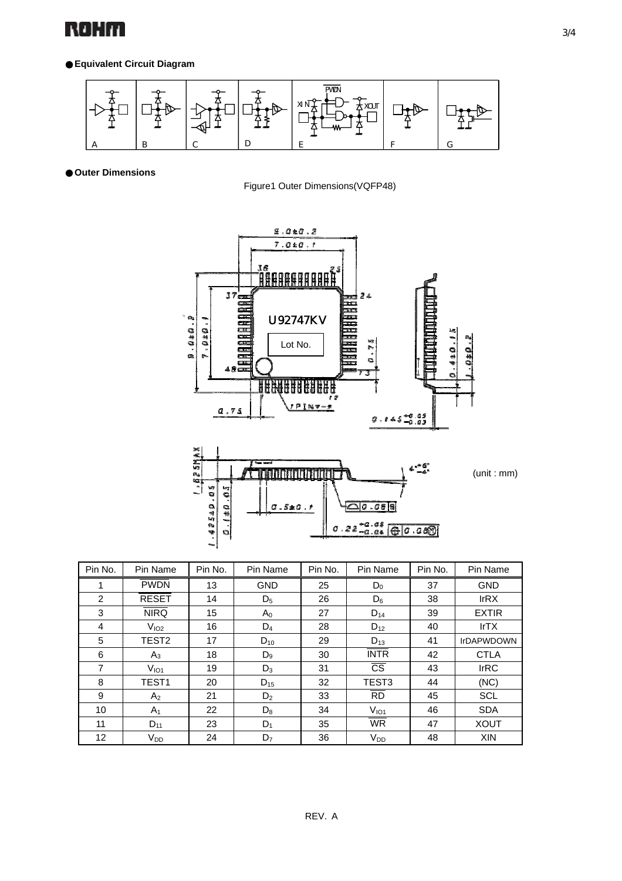

## **Equivalent Circuit Diagram**



**Outer Dimensions**

Figure1 Outer Dimensions(VQFP48)



n)

| 47<br>m,<br>52 |                                                 |                        |         |                     | (unit:mm) |
|----------------|-------------------------------------------------|------------------------|---------|---------------------|-----------|
| <b>In</b>      | LO.<br>$\bullet$<br>$\frac{11}{12}$<br>Ch.<br>喬 | w<br>۵<br>Ħ<br>m.<br>O | 0.510.1 | q<br>$0.22^{+0.08}$ |           |
|                | <b>COLL</b>                                     |                        |         |                     |           |

| Pin No. | Pin Name          | Pin No. | Pin Name       | Pin No. | Pin Name               | Pin No. | Pin Name          |
|---------|-------------------|---------|----------------|---------|------------------------|---------|-------------------|
|         | <b>PWDN</b>       | 13      | <b>GND</b>     | 25      | $D_0$                  | 37      | <b>GND</b>        |
| 2       | <b>RESET</b>      | 14      | $D_5$          | 26      | $D_6$                  | 38      | IrRX              |
| 3       | <b>NIRQ</b>       | 15      | $A_0$          | 27      | $D_{14}$               | 39      | <b>EXTIR</b>      |
| 4       | V <sub>102</sub>  | 16      | $D_4$          | 28      | $D_{12}$               | 40      | IrTX              |
| 5       | TEST <sub>2</sub> | 17      | $D_{10}$       | 29      | $D_{13}$               | 41      | <b>IrDAPWDOWN</b> |
| 6       | $A_3$             | 18      | $D_9$          | 30      | <b>INTR</b>            | 42      | <b>CTLA</b>       |
| 7       | V <sub>IO1</sub>  | 19      | $D_3$          | 31      | $\overline{\text{CS}}$ | 43      | <b>IrRC</b>       |
| 8       | TEST <sub>1</sub> | 20      | $D_{15}$       | 32      | TEST <sub>3</sub>      | 44      | (NC)              |
| 9       | A <sub>2</sub>    | 21      | D <sub>2</sub> | 33      | <b>RD</b>              | 45      | <b>SCL</b>        |
| 10      | A <sub>1</sub>    | 22      | $D_8$          | 34      | V <sub>IO1</sub>       | 46      | <b>SDA</b>        |
| 11      | $D_{11}$          | 23      | $D_1$          | 35      | <b>WR</b>              | 47      | <b>XOUT</b>       |
| 12      | V <sub>DD</sub>   | 24      | D <sub>7</sub> | 36      | <b>V<sub>DD</sub></b>  | 48      | <b>XIN</b>        |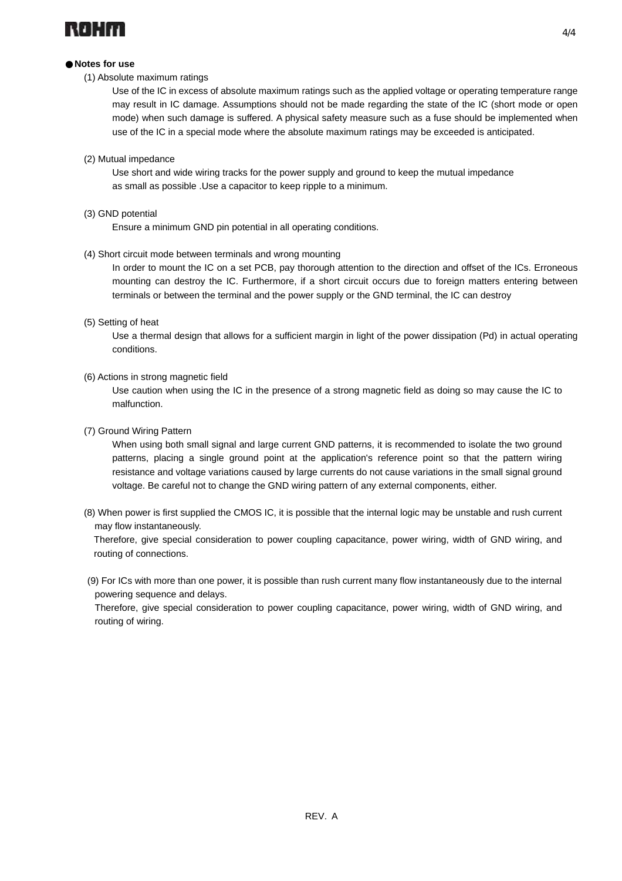

#### **Notes for use**

#### (1) Absolute maximum ratings

Use of the IC in excess of absolute maximum ratings such as the applied voltage or operating temperature range may result in IC damage. Assumptions should not be made regarding the state of the IC (short mode or open mode) when such damage is suffered. A physical safety measure such as a fuse should be implemented when use of the IC in a special mode where the absolute maximum ratings may be exceeded is anticipated.

#### (2) Mutual impedance

 Use short and wide wiring tracks for the power supply and ground to keep the mutual impedance as small as possible .Use a capacitor to keep ripple to a minimum.

#### (3) GND potential

Ensure a minimum GND pin potential in all operating conditions.

#### (4) Short circuit mode between terminals and wrong mounting

In order to mount the IC on a set PCB, pay thorough attention to the direction and offset of the ICs. Erroneous mounting can destroy the IC. Furthermore, if a short circuit occurs due to foreign matters entering between terminals or between the terminal and the power supply or the GND terminal, the IC can destroy

#### (5) Setting of heat

Use a thermal design that allows for a sufficient margin in light of the power dissipation (Pd) in actual operating conditions.

#### (6) Actions in strong magnetic field

Use caution when using the IC in the presence of a strong magnetic field as doing so may cause the IC to malfunction.

#### (7) Ground Wiring Pattern

When using both small signal and large current GND patterns, it is recommended to isolate the two ground patterns, placing a single ground point at the application's reference point so that the pattern wiring resistance and voltage variations caused by large currents do not cause variations in the small signal ground voltage. Be careful not to change the GND wiring pattern of any external components, either.

(8) When power is first supplied the CMOS IC, it is possible that the internal logic may be unstable and rush current may flow instantaneously.

Therefore, give special consideration to power coupling capacitance, power wiring, width of GND wiring, and routing of connections.

(9) For ICs with more than one power, it is possible than rush current many flow instantaneously due to the internal powering sequence and delays.

Therefore, give special consideration to power coupling capacitance, power wiring, width of GND wiring, and routing of wiring.